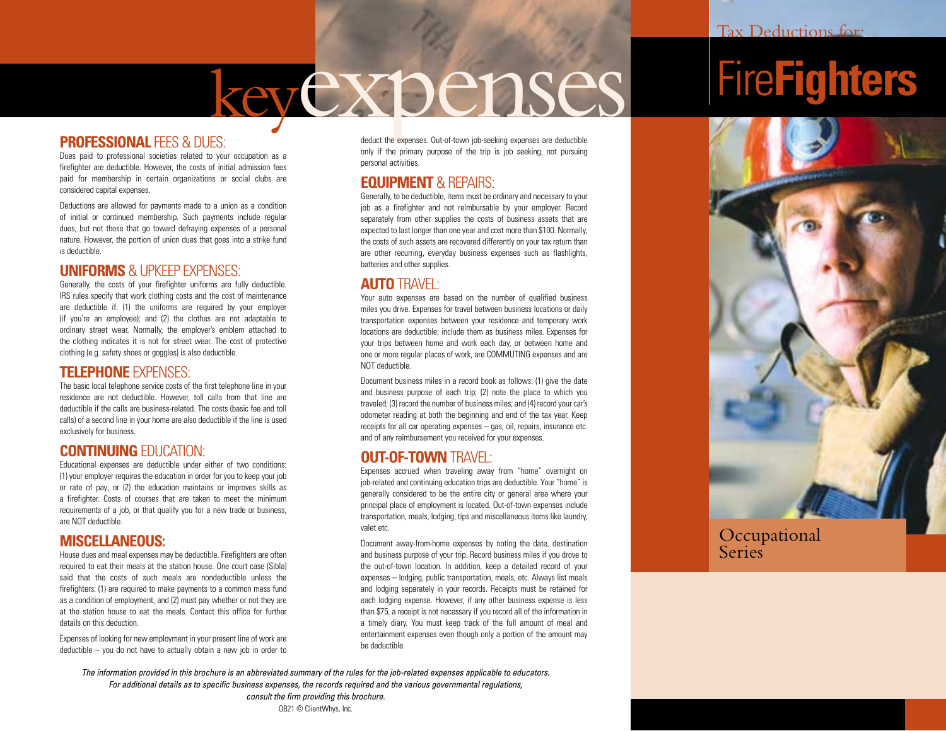## keyexpenses

#### **PROFESSIONAL FFFS & DUES:**

Dues paid to professional societies related to your occupation as a firefighter are deductible. However, the costs of initial admission fees paid for membership in certain organizations or social clubs are considered capital expenses.

Deductions are allowed for payments made to a union as a condition of initial or continued membership. Such payments include regular dues, but not those that go toward defraying expenses of a personal nature. However, the portion of union dues that goes into a strike fund is deductible.

#### **UNIFORMS** & UPKEEP EXPENSES:

Generally, the costs of your firefighter uniforms are fully deductible. IRS rules specify that work clothing costs and the cost of maintenance are deductible if: (1) the uniforms are required by your employer (if you're an employee); and (2) the clothes are not adaptable to ordinary street wear. Normally, the employer's emblem attached to the clothing indicates it is not for street wear. The cost of protective clothing (e.g. safety shoes or goggles) is also deductible.

#### **TELEPHONE** EXPENSES:

The basic local telephone service costs of the first telephone line in your residence are not deductible. However, toll calls from that line are deductible if the calls are business-related. The costs (basic fee and toll calls) of a second line in your home are also deductible if the line is used exclusively for business.

#### **CONTINUING** EDUCATION:

Educational expenses are deductible under either of two conditions: (1) your employer requires the education in order for you to keep your job or rate of pay; or (2) the education maintains or improves skills as a firefighter. Costs of courses that are taken to meet the minimum requirements of a job, or that qualify you for a new trade or business, are NOT deductible.

#### **MISCELLANEOUS:**

House dues and meal expenses may be deductible. Firefighters are often required to eat their meals at the station house. One court case (Sibla) said that the costs of such meals are nondeductible unless the firefighters: (1) are required to make payments to a common mess fund as a condition of employment, and (2) must pay whether or not they are at the station house to eat the meals. Contact this office for further details on this deduction.

Expenses of looking for new employment in your present line of work are deductible – you do not have to actually obtain a new job in order to deduct the expenses. Out-of-town job-seeking expenses are deductible only if the primary purpose of the trip is job seeking, not pursuing personal activities.

#### **EQUIPMENT** & REPAIRS:

Generally, to be deductible, items must be ordinary and necessary to your job as a firefighter and not reimbursable by your employer. Record separately from other supplies the costs of business assets that are expected to last longer than one year and cost more than \$100. Normally, the costs of such assets are recovered differently on your tax return than are other recurring, everyday business expenses such as flashlights, batteries and other supplies.

#### **AUTO** TRAVEL:

Your auto expenses are based on the number of qualified business miles you drive. Expenses for travel between business locations or daily transportation expenses between your residence and temporary work locations are deductible; include them as business miles. Expenses for your trips between home and work each day, or between home and one or more regular places of work, are COMMUTING expenses and are NOT deductible.

Document business miles in a record book as follows: (1) give the date and business purpose of each trip; (2) note the place to which you traveled; (3) record the number of business miles; and (4) record your car's odometer reading at both the beginning and end of the tax year. Keep receipts for all car operating expenses – gas, oil, repairs, insurance etc. and of any reimbursement you received for your expenses.

#### **OUT-OF-TOWN**TRAVEL:

Expenses accrued when traveling away from "home" overnight on job-related and continuing education trips are deductible. Your "home" is generally considered to be the entire city or general area where your principal place of employment is located. Out-of-town expenses include transportation, meals, lodging, tips and miscellaneous items like laundry, valet etc.

Document away-from-home expenses by noting the date, destination and business purpose of your trip. Record business miles if you drove to the out-of-town location. In addition, keep a detailed record of your expenses – lodging, public transportation, meals, etc. Always list meals and lodging separately in your records. Receipts must be retained for each lodging expense. However, if any other business expense is less than \$75, a receipt is not necessary if you record all of the information in a timely diary. You must keep track of the full amount of meal and entertainment expenses even though only a portion of the amount may be deductible.

Fire**Fighters**



Occupational **Series** 

*The information provided in this brochure is an abbreviated summary of the rules for the job-related expenses applicable to educators. For additional details as to specific business expenses, the records required and the various governmental regulations, consult the firm providing this brochure.*

OB21 © ClientWhys, Inc.